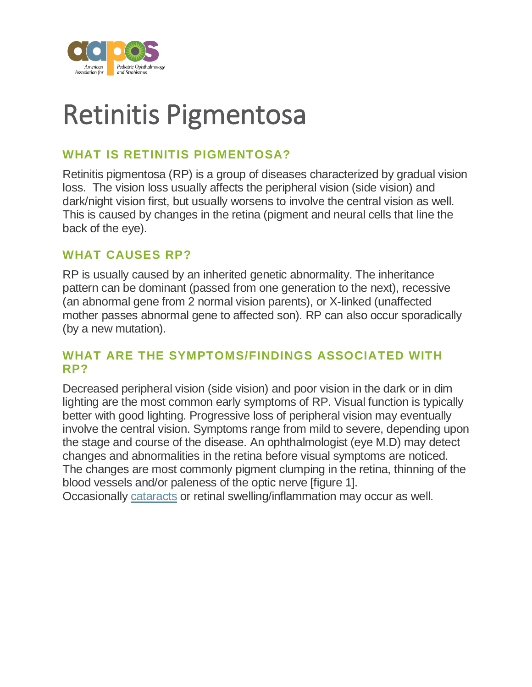

# Retinitis Pigmentosa

# **WHAT IS RETINITIS PIGMENTOSA?**

Retinitis pigmentosa (RP) is a group of diseases characterized by gradual vision loss. The vision loss usually affects the peripheral vision (side vision) and dark/night vision first, but usually worsens to involve the central vision as well. This is caused by changes in the retina (pigment and neural cells that line the back of the eye).

#### **WHAT CAUSES RP?**

RP is usually caused by an inherited genetic abnormality. The inheritance pattern can be dominant (passed from one generation to the next), recessive (an abnormal gene from 2 normal vision parents), or X-linked (unaffected mother passes abnormal gene to affected son). RP can also occur sporadically (by a new mutation).

#### **WHAT ARE THE SYMPTOMS/FINDINGS ASSOCIATED WITH RP?**

Decreased peripheral vision (side vision) and poor vision in the dark or in dim lighting are the most common early symptoms of RP. Visual function is typically better with good lighting. Progressive loss of peripheral vision may eventually involve the central vision. Symptoms range from mild to severe, depending upon the stage and course of the disease. An ophthalmologist (eye M.D) may detect changes and abnormalities in the retina before visual symptoms are noticed. The changes are most commonly pigment clumping in the retina, thinning of the blood vessels and/or paleness of the optic nerve [figure 1].

Occasionally [cataracts](https://aapos.org/glossary/cataract) or retinal swelling/inflammation may occur as well.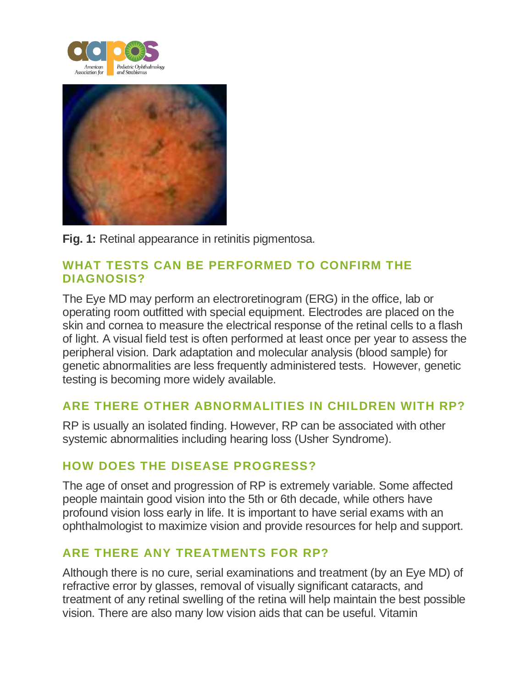



**Fig. 1:** Retinal appearance in retinitis pigmentosa.

### **WHAT TESTS CAN BE PERFORMED TO CONFIRM THE DIAGNOSIS?**

The Eye MD may perform an electroretinogram (ERG) in the office, lab or operating room outfitted with special equipment. Electrodes are placed on the skin and cornea to measure the electrical response of the retinal cells to a flash of light. A visual field test is often performed at least once per year to assess the peripheral vision. Dark adaptation and molecular analysis (blood sample) for genetic abnormalities are less frequently administered tests. However, genetic testing is becoming more widely available.

# **ARE THERE OTHER ABNORMALITIES IN CHILDREN WITH RP?**

RP is usually an isolated finding. However, RP can be associated with other systemic abnormalities including hearing loss (Usher Syndrome).

## **HOW DOES THE DISEASE PROGRESS?**

The age of onset and progression of RP is extremely variable. Some affected people maintain good vision into the 5th or 6th decade, while others have profound vision loss early in life. It is important to have serial exams with an ophthalmologist to maximize vision and provide resources for help and support.

## **ARE THERE ANY TREATMENTS FOR RP?**

Although there is no cure, serial examinations and treatment (by an Eye MD) of refractive error by glasses, removal of visually significant cataracts, and treatment of any retinal swelling of the retina will help maintain the best possible vision. There are also many low vision aids that can be useful. Vitamin